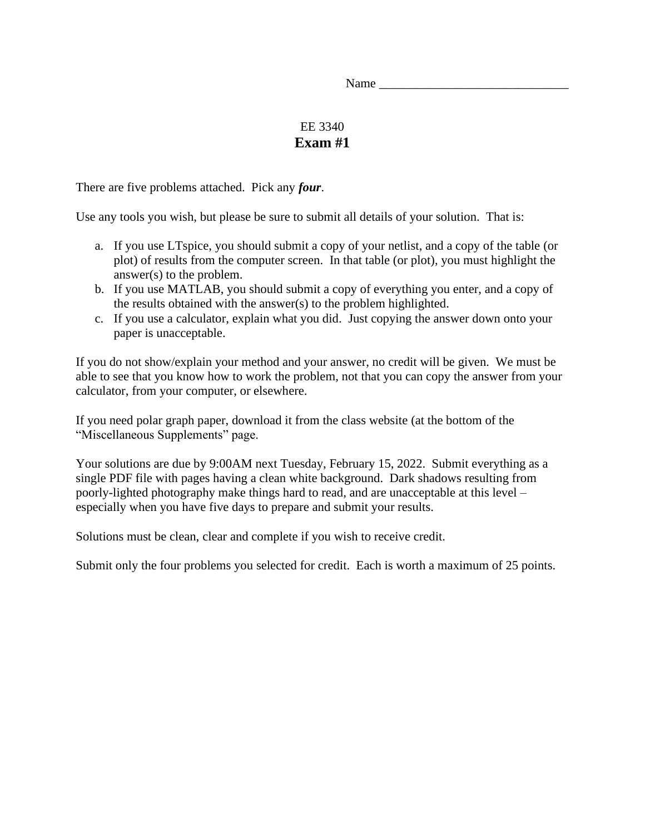Name \_\_\_\_\_\_\_\_\_\_\_\_\_\_\_\_\_\_\_\_\_\_\_\_\_\_\_\_\_\_

## EE 3340 **Exam #1**

There are five problems attached. Pick any *four*.

Use any tools you wish, but please be sure to submit all details of your solution. That is:

- a. If you use LTspice, you should submit a copy of your netlist, and a copy of the table (or plot) of results from the computer screen. In that table (or plot), you must highlight the answer(s) to the problem.
- b. If you use MATLAB, you should submit a copy of everything you enter, and a copy of the results obtained with the answer(s) to the problem highlighted.
- c. If you use a calculator, explain what you did. Just copying the answer down onto your paper is unacceptable.

If you do not show/explain your method and your answer, no credit will be given. We must be able to see that you know how to work the problem, not that you can copy the answer from your calculator, from your computer, or elsewhere.

If you need polar graph paper, download it from the class website (at the bottom of the "Miscellaneous Supplements" page.

Your solutions are due by 9:00AM next Tuesday, February 15, 2022. Submit everything as a single PDF file with pages having a clean white background. Dark shadows resulting from poorly-lighted photography make things hard to read, and are unacceptable at this level – especially when you have five days to prepare and submit your results.

Solutions must be clean, clear and complete if you wish to receive credit.

Submit only the four problems you selected for credit. Each is worth a maximum of 25 points.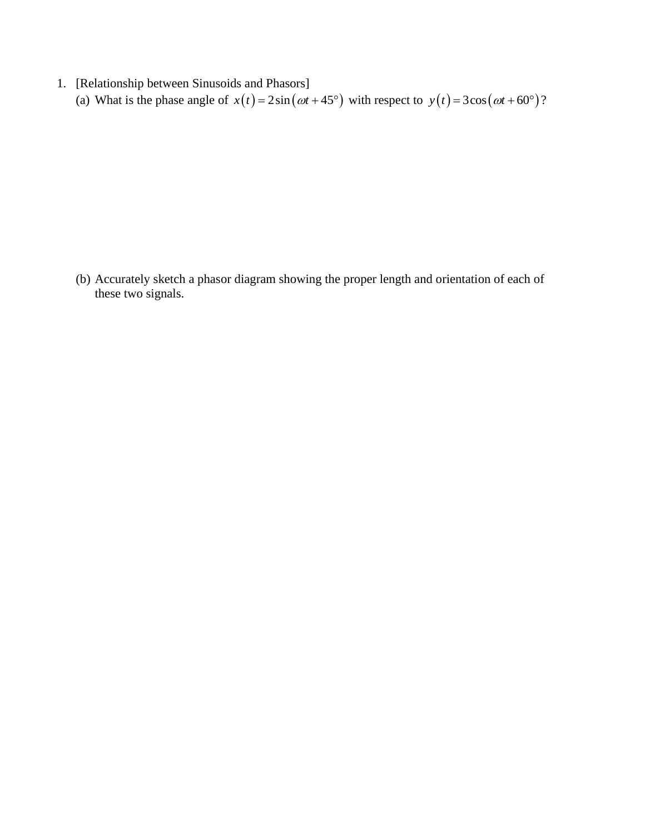1. [Relationship between Sinusoids and Phasors] (a) What is the phase angle of  $x(t) = 2\sin(\omega t + 45^\circ)$  with respect to  $y(t) = 3\cos(\omega t + 60^\circ)$ ?

(b) Accurately sketch a phasor diagram showing the proper length and orientation of each of these two signals.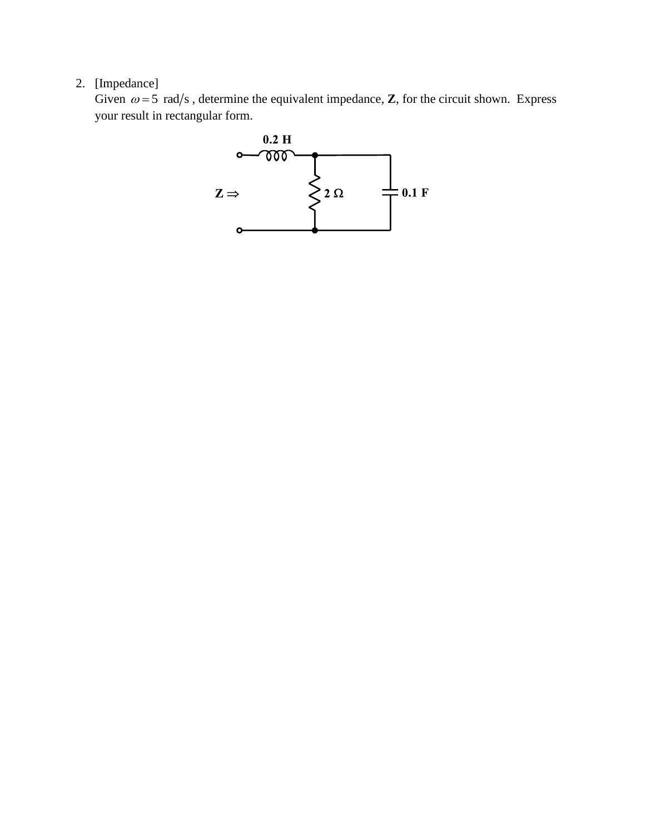## 2. [Impedance]

Given  $\omega = 5$  rad/s, determine the equivalent impedance, **Z**, for the circuit shown. Express your result in rectangular form.

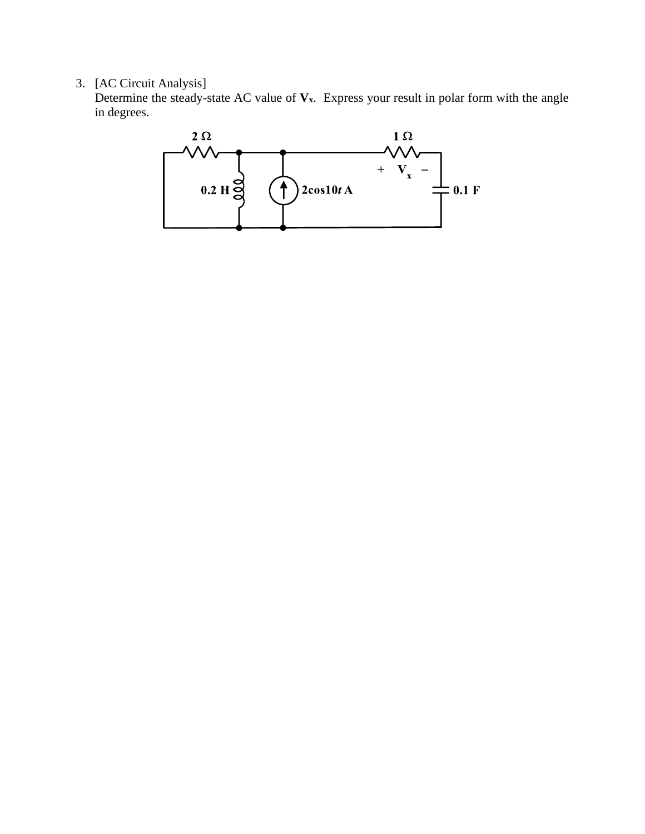## 3. [AC Circuit Analysis]

Determine the steady-state AC value of  $V_x$ . Express your result in polar form with the angle in degrees.

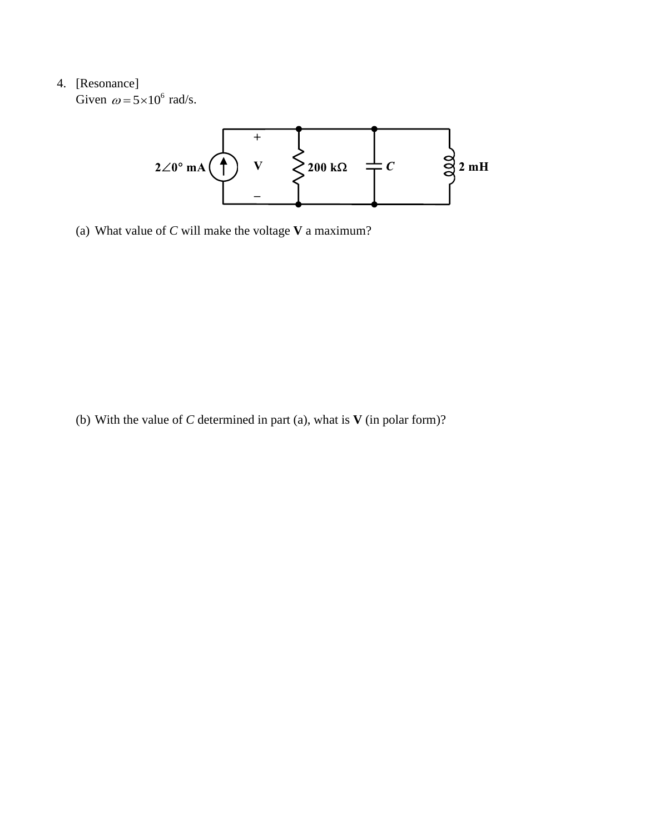## 4. [Resonance]

Given  $\omega = 5 \times 10^6$  rad/s.



(a) What value of *C* will make the voltage **V** a maximum?

(b) With the value of *C* determined in part (a), what is **V** (in polar form)?